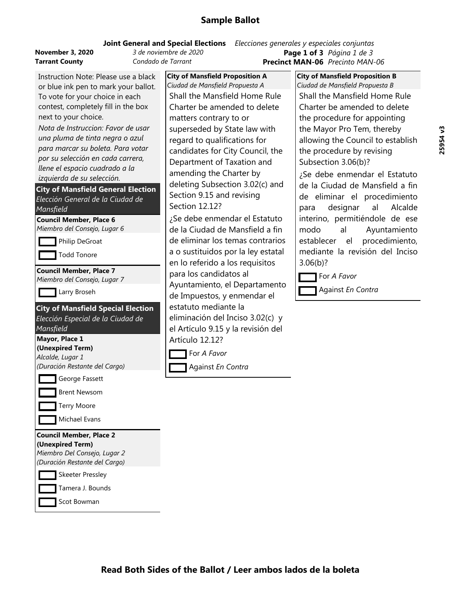| November 3, 2020      | 3 de noviembre de 2020 | Page 1 of 3 $P$          |  |
|-----------------------|------------------------|--------------------------|--|
| <b>Tarrant County</b> | Condado de Tarrant     | <b>Precinct MAN-06 P</b> |  |

Instruction Note: Please use a black or blue ink pen to mark your ballot. To vote for your choice in each contest, completely fill in the box next to your choice.

*Nota de Instruccion: Favor de usar una pluma de tinta negra <sup>o</sup> azul para marcar su boleta. Para votar por su selección en cada carrera, llene el espacio cuadrado <sup>a</sup> la izquierda de su selección.*

**City of Mansfield General Election** *Elección General de la Ciudad de Mansfield*

**Council Member, Place 6**

*Miembro del Consejo, Lugar 6*

| Philip DeGroat |
|----------------|
|----------------|

Todd Tonore

**Council Member, Place 7**

*Miembro del Consejo, Lugar 7*

Larry Broseh

**City of Mansfield Special Election** *Elección Especial de la Ciudad de*

## *Mansfield*

**Mayor, Place 1 (Unexpired Term)** *Alcalde, Lugar 1 (Duración Restante del Cargo)* George Fassett Brent Newsom

Terry Moore

Michael Evans

### **Council Member, Place 2 (Unexpired Term)**



Tamera J. Bounds

Scot Bowman

**City of Mansfield Proposition A** *Ciudad de Mansfield Propuesta A* Shall the Mansfield Home Rule Charter be amended to delete matters contrary to or superseded by State law with regard to qualifications for candidates for City Council, the Department of Taxation and amending the Charter by deleting Subsection 3.02(c) and Section 9.15 and revising Section 12.12?

¿Se debe enmendar el Estatuto de la Ciudad de Mansfield a fin de eliminar los temas contrarios a o sustituidos por la ley estatal en lo referido a los requisitos para los candidatos al Ayuntamiento, el Departamento de Impuestos, y enmendar el estatuto mediante la eliminación del Inciso 3.02(c) y el Artículo 9.15 y la revisión del Artículo 12.12?

For *A Favor*

Against *En Contra*

**Precinct MAN-06** *Precinto MAN-06* **Joint General and Special Elections** *Elecciones generales y especiales conjuntas* **Page 1 of 3** *Página 1 de 3*

> **City of Mansfield Proposition B** *Ciudad de Mansfield Propuesta B* Shall the Mansfield Home Rule Charter be amended to delete the procedure for appointing the Mayor Pro Tem, thereby allowing the Council to establish the procedure by revising Subsection 3.06(b)?

¿Se debe enmendar el Estatuto de la Ciudad de Mansfield <sup>a</sup> fin de eliminar el procedimiento para designar al Alcalde interino, permitiéndole de ese modo al Ayuntamiento establecer el procedimiento, mediante la revisión del Inciso 3.06(b)?

For *A Favor*

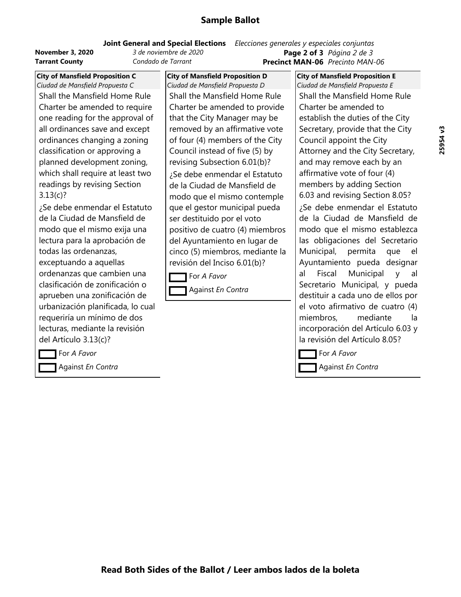**November 3, 2020** *3 de noviembre de 2020* **Tarrant County** *Condado de Tarrant*

**Precinct MAN-06** *Precinto MAN-06* **Joint General and Special Elections** *Elecciones generales y especiales conjuntas* **Page 2 of 3** *Página 2 de 3*

**City of Mansfield Proposition E**

**City of Mansfield Proposition C** *Ciudad de Mansfield Propuesta C* Shall the Mansfield Home Rule Charter be amended to require one reading for the approval of all ordinances save and except ordinances changing a zoning classification or approving a planned development zoning, which shall require at least two readings by revising Section 3.13(c)?

¿Se debe enmendar el Estatuto de la Ciudad de Mansfield de modo que el mismo exija una lectura para la aprobación de todas las ordenanzas, exceptuando a aquellas ordenanzas que cambien una clasificación de zonificación o aprueben una zonificación de urbanización planificada, lo cual requeriría un mínimo de dos lecturas, mediante la revisión del Artículo 3.13(c)?

For *A Favor*

Against *En Contra*

**City of Mansfield Proposition D** *Ciudad de Mansfield Propuesta D* Shall the Mansfield Home Rule Charter be amended to provide that the City Manager may be removed by an affirmative vote of four (4) members of the City Council instead of five (5) by revising Subsection 6.01(b)? ¿Se debe enmendar el Estatuto de la Ciudad de Mansfield de modo que el mismo contemple que el gestor municipal pueda ser destituido por el voto positivo de cuatro (4) miembros del Ayuntamiento en lugar de cinco (5) miembros, mediante la revisión del Inciso 6.01(b)?

For *A Favor* Against *En Contra* *Ciudad de Mansfield Propuesta E* Shall the Mansfield Home Rule Charter be amended to establish the duties of the City Secretary, provide that the City Council appoint the City Attorney and the City Secretary, and may remove each by an affirmative vote of four (4) members by adding Section 6.03 and revising Section 8.05? ¿Se debe enmendar el Estatuto de la Ciudad de Mansfield de modo que el mismo establezca las obligaciones del Secretario Municipal, permita que el Ayuntamiento pueda designar al Fiscal Municipal y al Secretario Municipal, y pueda destituir <sup>a</sup> cada uno de ellos por el voto afirmativo de cuatro (4) miembros, mediante la incorporación del Artículo 6.03 y la revisión del Artículo 8.05?

For *A Favor*

Against *En Contra*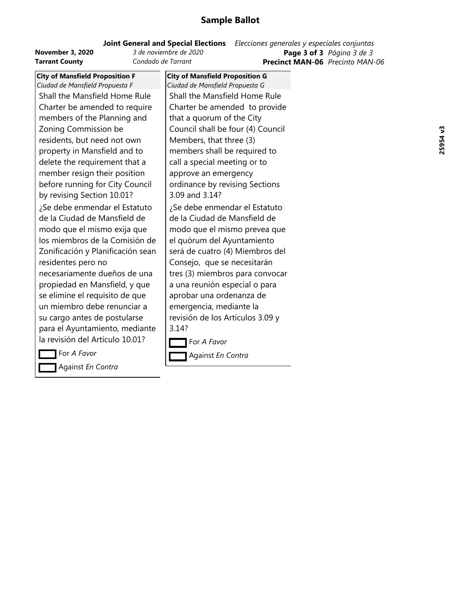|                         | <b>Joint General and Special Elections</b> | Elecciones generales y especiales conjuntas |
|-------------------------|--------------------------------------------|---------------------------------------------|
| <b>November 3, 2020</b> | 3 de noviembre de 2020                     | <b>Page 3 of 3</b> Página 3 de 3            |
| <b>Tarrant County</b>   | Condado de Tarrant                         | <b>Precinct MAN-06</b> Precinto MAN-06      |

| <b>City of Mansfield Proposition F</b> | <b>City of Mansfield Proposition G</b> |
|----------------------------------------|----------------------------------------|
| Ciudad de Mansfield Propuesta F        | Ciudad de Mansfield Propuesta G        |
| Shall the Mansfield Home Rule          | Shall the Mansfield Home F             |
| Charter be amended to require          | Charter be amended to pro              |
| members of the Planning and            | that a quorum of the City              |
| Zoning Commission be                   | Council shall be four (4) Co           |
| residents, but need not own            | Members, that three (3)                |
| property in Mansfield and to           | members shall be required              |
| delete the requirement that a          | call a special meeting or to           |
| member resign their position           | approve an emergency                   |
| before running for City Council        | ordinance by revising Sectio           |
| by revising Section 10.01?             | 3.09 and 3.14?                         |
| ¿Se debe enmendar el Estatuto          | Se debe enmendar el Estatز             |
| de la Ciudad de Mansfield de           | de la Ciudad de Mansfield o            |
| modo que el mismo exija que            | modo que el mismo prevea               |
| los miembros de la Comisión de         | el quórum del Ayuntamient              |
| Zonificación y Planificación sean      | será de cuatro (4) Miembro             |
| residentes pero no                     | Consejo, que se necesitará             |
| necesariamente dueños de una           | tres (3) miembros para con             |
| propiedad en Mansfield, y que          | a una reunión especial o pa            |
| se elimine el requisito de que         | aprobar una ordenanza de               |
| un miembro debe renunciar a            | emergencia, mediante la                |
| su cargo antes de postularse           | revisión de los Artículos 3.0          |
| para el Ayuntamiento, mediante         | 3.14?                                  |
| la revisión del Artículo 10.01?        | For A Favor                            |
|                                        |                                        |

*Ciudad de Mansfield Propuesta G* the Mansfield Home Rule ter be amended to provide a quorum of the City ncil shall be four (4) Council nbers, that three (3) nbers shall be required to a special meeting or to rove an emergency nance by revising Sections and 3.14? debe enmendar el Estatuto a Ciudad de Mansfield de lo que el mismo prevea que aórum del Ayuntamiento de cuatro (4) Miembros del sejo, que se necesitarán (3) miembros para convocar a reunión especial o para bar una ordenanza de rgencia, mediante la iión de los Artículos 3.09 y ?

For *A Favor*

Against *En Contra*

Against *En Contra*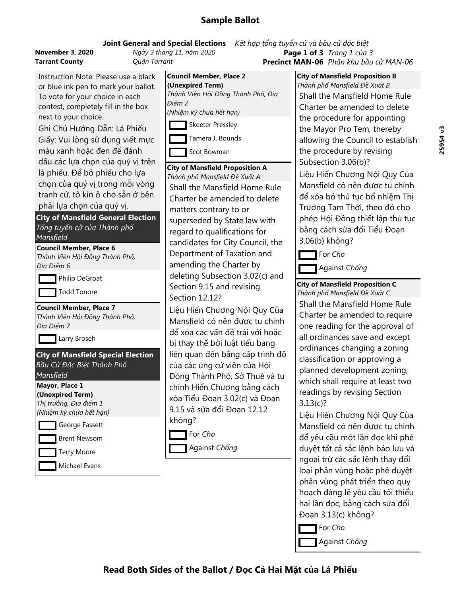## **Joint General and Special Elections** *Kết hʚp tổng tuyển cử và bầu cử đặc biệt*

| <b>November 3, 2020</b> |  |
|-------------------------|--|
| <b>Tarrant County</b>   |  |

**November 3, 2020** *Ngày 3 thing 11, năm 2020* **Tarrant County** *Quận Tarrant*

**Precinct MAN-06** *Phân khu bầu cử MAN-06* **Page 1 of 3** *Trang 1 của 3*

Instruction Note: Please use a black or blue ink pen to mark your ballot. To vote for your choice in each contest, completely fill in the box next to your choice.

Ghi Chú Hướng Dẫn: Lá Phiếu Giấy: Vui lòng sử dụng viết mực màu xanh hoặc đen để đánh dấu các lựa chọn của quý vị trên lá phiếu. Để bỏ phiếu cho lựa chọn của quý vị trong mỗi vòng tranh cử, tô kín ô cho sẵn ở bên phải lựa chọn của quý vị.

**City of Mansfield General Election** *Tổng tuyển cử của Thành <sup>p</sup>hố Mansfield*

#### **Council Member, Place 6**

*Thành Viên Hội Đồng Thành Phố, Địa Điểm 6*

**Philip DeGroat** 

Todd Tonore

**Council Member, Place 7**

*Thành Viên Hội Đồng Thành Phố, Địa Điểm 7*

**Larry Broseh** 

**City of Mansfield Special Election** *Bầu Cử Đặc Biệt Thành Phố*

## *Mansfield*

**Mayor, Place 1 (Unexpired Term)** *Thị trưởng, Địa điểm <sup>1</sup>*

| (Nhiệm kỳ chưa hết hạn) |                |  |
|-------------------------|----------------|--|
|                         | George Fassett |  |

Brent Newsom

Terry Moore

Michael Evans



**City of Mansfield Proposition A** *Thành phố Mansfield Đề Xuất <sup>A</sup>* Shall the Mansfield Home Rule Charter be amended to delete matters contrary to or superseded by State law with regard to qualifications for candidates for City Council, the Department of Taxation and amending the Charter by deleting Subsection 3.02(c) and Section 9.15 and revising Section 12.12?

Liệu Hiến Chương Nội Quy Của Mansfield có nên được tu chính để xóa các vấn đề trái với hoặc bị thay thế bởi luật tiểu bang liên quan đến bằng cấp trình độ của các ứng cử viên của Hội Đồng Thành Phố, Sở Thuế và tu chính Hiến Chương bằng cách xóa Tiểu Đoạn 3.02(c) và Đoạn 9.15 và sửa đổi Đoạn 12.12 không?

For *Cho*

Against *Chống*

**City of Mansfield Proposition B** *Thành phố Mansfield Đề Xuất <sup>B</sup>* Shall the Mansfield Home Rule Charter be amended to delete the procedure for appointing the Mayor Pro Tem, thereby allowing the Council to establish the procedure by revising Subsection 3.06(b)?

Liệu Hiến Chương Nội Quy Của Mansfield có nên được tu chính để xóa bỏ thủ tục bổ nhiệm Thị Trưởng Tạm Thời, theo đó cho phép Hội Đồng thiết lập thủ tục bằng cách sửa đổi Tiểu Đoạn 3.06(b) không?

For *Cho*

Against *Chống*

## **City of Mansfield Proposition C**

*Thành phố Mansfield Đề Xuất C* Shall the Mansfield Home Rule Charter be amended to require one reading for the approval of all ordinances save and except ordinances changing a zoning classification or approving a planned development zoning, which shall require at least two readings by revising Section 3.13(c)?

Liệu Hiến Chương Nội Quy Của Mansfield có nên được tu chính để yêu cầu một lần đọc khi phê duyệt tất cả sắc lệnh bảo lưu và ngoại trừ các sắc lệnh thay đổi loại phân vùng hoặc phê duyệt <sup>p</sup>hân vùng phát triển theo quy hoạch đáng lẽ yêu cầu tối thiểu hai lần đọc, bằng cách sửa đổi Đoạn 3.13(c) không?

For *Cho*

Against *Chống*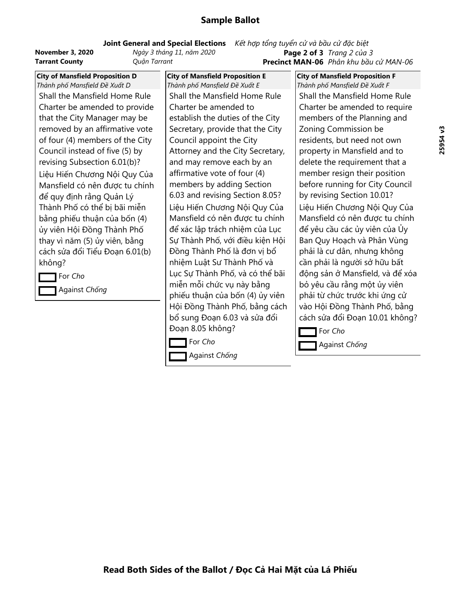#### **Joint General and Special Elections** *Kết hʚp tổng tuyển cử và bầu cử đặc biệt*

**Tarrant County** *Quận Tarrant*

**November 3, 2020** *Ngày 3 thing 11, năm 2020*

**Precinct MAN-06** *Phân khu bầu cử MAN-06* **Page 2 of 3** *Trang 2 của 3*

**City of Mansfield Proposition D** *Thành phố Mansfield Đề Xuất <sup>D</sup>* Shall the Mansfield Home Rule Charter be amended to provide that the City Manager may be removed by an affirmative vote of four (4) members of the City Council instead of five (5) by revising Subsection 6.01(b)? Liệu Hiến Chương Nội Quy Của Mansfield có nên được tu chính để quy định rằng Quản Lý Thành Phố có thể bị bãi miễn bằng phiếu thuận của bốn (4) ủy viên Hội Đồng Thành Phố thay vì năm (5) ủy viên, bằng cách sửa đổi Tiểu Đoạn 6.01(b) không?

For *Cho* Against *Chống* **City of Mansfield Proposition E** *Thành phố Mansfield Đề Xuất <sup>E</sup>* Shall the Mansfield Home Rule Charter be amended to establish the duties of the City Secretary, provide that the City Council appoint the City Attorney and the City Secretary, and may remove each by an affirmative vote of four (4) members by adding Section 6.03 and revising Section 8.05? Liệu Hiến Chương Nội Quy Của Mansfield có nên được tu chính để xác lập trách nhiệm của Lục Sự Thành Phố, với điều kiện Hội Đồng Thành Phố là đơn vị bổ nhiệm Luật Sư Thành Phố và Lục Sự Thành Phố, và có thể bãi miễn mỗi chức vụ này bằng phiếu thuận của bốn (4) ủy viên Hội Đồng Thành Phố, bằng cách bổ sung Đoạn 6.03 và sửa đổi Đoạn 8.05 không?

For *Cho*

Against *Chống*

**City of Mansfield Proposition F** *Thành phố Mansfield Đề Xuất <sup>F</sup>* Shall the Mansfield Home Rule Charter be amended to require members of the Planning and Zoning Commission be residents, but need not own property in Mansfield and to delete the requirement that a member resign their position before running for City Council by revising Section 10.01? Liệu Hiến Chương Nội Quy Của Mansfield có nên được tu chính để yêu cầu các ủy viên của Ủy Ban Quy Hoạch và Phân Vùng phải là cư dân, nhưng không cần phải là người sở hữu bất động sản ở Mansfield, và để xóa bỏ yêu cầu rằng một ủy viên phải từ chức trước khi ứng cử vào Hội Đồng Thành Phố, bằng cách sửa đổi Đoạn 10.01 không?

For *Cho* Against *Chống*

**Read Both Sides of the Ballot / Đọc Cả Hai Mặt của Lá Phiếu**